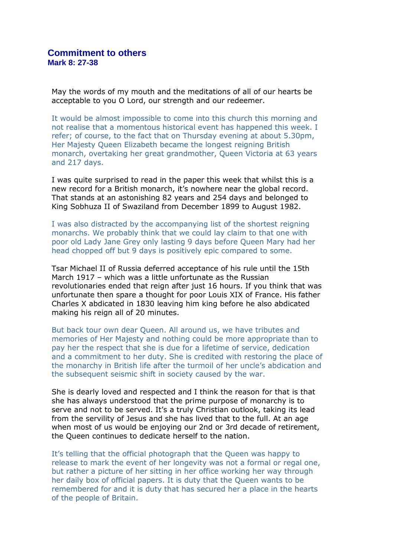May the words of my mouth and the meditations of all of our hearts be acceptable to you O Lord, our strength and our redeemer.

It would be almost impossible to come into this church this morning and not realise that a momentous historical event has happened this week. I refer; of course, to the fact that on Thursday evening at about 5.30pm, Her Majesty Queen Elizabeth became the longest reigning British monarch, overtaking her great grandmother, Queen Victoria at 63 years and 217 days.

I was quite surprised to read in the paper this week that whilst this is a new record for a British monarch, it's nowhere near the global record. That stands at an astonishing 82 years and 254 days and belonged to King Sobhuza II of Swaziland from December 1899 to August 1982.

I was also distracted by the accompanying list of the shortest reigning monarchs. We probably think that we could lay claim to that one with poor old Lady Jane Grey only lasting 9 days before Queen Mary had her head chopped off but 9 days is positively epic compared to some.

Tsar Michael II of Russia deferred acceptance of his rule until the 15th March 1917 – which was a little unfortunate as the Russian revolutionaries ended that reign after just 16 hours. If you think that was unfortunate then spare a thought for poor Louis XIX of France. His father Charles X abdicated in 1830 leaving him king before he also abdicated making his reign all of 20 minutes.

But back tour own dear Queen. All around us, we have tributes and memories of Her Majesty and nothing could be more appropriate than to pay her the respect that she is due for a lifetime of service, dedication and a commitment to her duty. She is credited with restoring the place of the monarchy in British life after the turmoil of her uncle's abdication and the subsequent seismic shift in society caused by the war.

She is dearly loved and respected and I think the reason for that is that she has always understood that the prime purpose of monarchy is to serve and not to be served. It's a truly Christian outlook, taking its lead from the servility of Jesus and she has lived that to the full. At an age when most of us would be enjoying our 2nd or 3rd decade of retirement, the Queen continues to dedicate herself to the nation.

It's telling that the official photograph that the Queen was happy to release to mark the event of her longevity was not a formal or regal one, but rather a picture of her sitting in her office working her way through her daily box of official papers. It is duty that the Queen wants to be remembered for and it is duty that has secured her a place in the hearts of the people of Britain.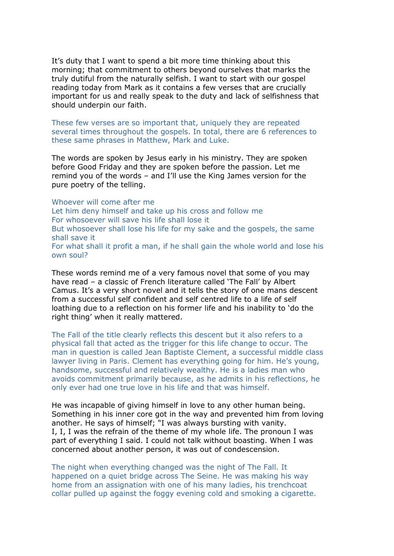It's duty that I want to spend a bit more time thinking about this morning; that commitment to others beyond ourselves that marks the truly dutiful from the naturally selfish. I want to start with our gospel reading today from Mark as it contains a few verses that are crucially important for us and really speak to the duty and lack of selfishness that should underpin our faith.

These few verses are so important that, uniquely they are repeated several times throughout the gospels. In total, there are 6 references to these same phrases in Matthew, Mark and Luke.

The words are spoken by Jesus early in his ministry. They are spoken before Good Friday and they are spoken before the passion. Let me remind you of the words – and I'll use the King James version for the pure poetry of the telling.

Whoever will come after me

Let him deny himself and take up his cross and follow me For whosoever will save his life shall lose it But whosoever shall lose his life for my sake and the gospels, the same shall save it For what shall it profit a man, if he shall gain the whole world and lose his own soul?

These words remind me of a very famous novel that some of you may have read - a classic of French literature called 'The Fall' by Albert Camus. It's a very short novel and it tells the story of one mans descent from a successful self confident and self centred life to a life of self loathing due to a reflection on his former life and his inability to 'do the right thing' when it really mattered.

The Fall of the title clearly reflects this descent but it also refers to a physical fall that acted as the trigger for this life change to occur. The man in question is called Jean Baptiste Clement, a successful middle class lawyer living in Paris. Clement has everything going for him. He's young, handsome, successful and relatively wealthy. He is a ladies man who avoids commitment primarily because, as he admits in his reflections, he only ever had one true love in his life and that was himself.

He was incapable of giving himself in love to any other human being. Something in his inner core got in the way and prevented him from loving another. He says of himself; "I was always bursting with vanity. I, I, I was the refrain of the theme of my whole life. The pronoun I was part of everything I said. I could not talk without boasting. When I was concerned about another person, it was out of condescension.

The night when everything changed was the night of The Fall. It happened on a quiet bridge across The Seine. He was making his way home from an assignation with one of his many ladies, his trenchcoat collar pulled up against the foggy evening cold and smoking a cigarette.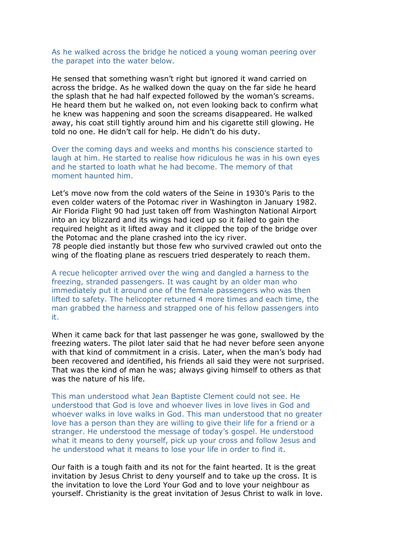## As he walked across the bridge he noticed a young woman peering over the parapet into the water below.

He sensed that something wasn't right but ignored it wand carried on across the bridge. As he walked down the quay on the far side he heard the splash that he had half expected followed by the woman's screams. He heard them but he walked on, not even looking back to confirm what he knew was happening and soon the screams disappeared. He walked away, his coat still tightly around him and his cigarette still glowing. He told no one. He didn't call for help. He didn't do his duty.

Over the coming days and weeks and months his conscience started to laugh at him. He started to realise how ridiculous he was in his own eyes and he started to loath what he had become. The memory of that moment haunted him.

Let's move now from the cold waters of the Seine in 1930's Paris to the even colder waters of the Potomac river in Washington in January 1982. Air Florida Flight 90 had just taken off from Washington National Airport into an icy blizzard and its wings had iced up so it failed to gain the required height as it lifted away and it clipped the top of the bridge over the Potomac and the plane crashed into the icy river.

78 people died instantly but those few who survived crawled out onto the wing of the floating plane as rescuers tried desperately to reach them.

A recue helicopter arrived over the wing and dangled a harness to the freezing, stranded passengers. It was caught by an older man who immediately put it around one of the female passengers who was then lifted to safety. The helicopter returned 4 more times and each time, the man grabbed the harness and strapped one of his fellow passengers into it.

When it came back for that last passenger he was gone, swallowed by the freezing waters. The pilot later said that he had never before seen anyone with that kind of commitment in a crisis. Later, when the man's body had been recovered and identified, his friends all said they were not surprised. That was the kind of man he was; always giving himself to others as that was the nature of his life.

This man understood what Jean Baptiste Clement could not see. He understood that God is love and whoever lives in love lives in God and whoever walks in love walks in God. This man understood that no greater love has a person than they are willing to give their life for a friend or a stranger. He understood the message of today's gospel. He understood what it means to deny yourself, pick up your cross and follow Jesus and he understood what it means to lose your life in order to find it.

Our faith is a tough faith and its not for the faint hearted. It is the great invitation by Jesus Christ to deny yourself and to take up the cross. It is the invitation to love the Lord Your God and to love your neighbour as yourself. Christianity is the great invitation of Jesus Christ to walk in love.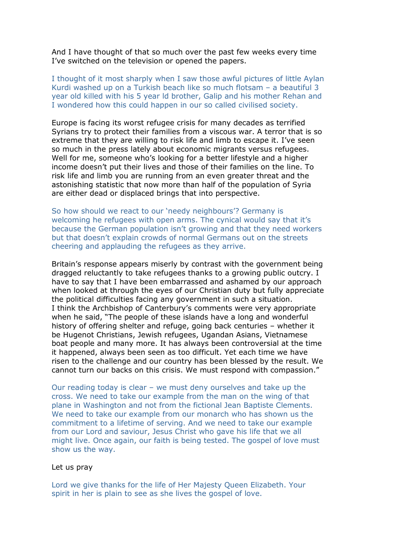And I have thought of that so much over the past few weeks every time I've switched on the television or opened the papers.

I thought of it most sharply when I saw those awful pictures of little Aylan Kurdi washed up on a Turkish beach like so much flotsam – a beautiful 3 year old killed with his 5 year ld brother, Galip and his mother Rehan and I wondered how this could happen in our so called civilised society.

Europe is facing its worst refugee crisis for many decades as terrified Syrians try to protect their families from a viscous war. A terror that is so extreme that they are willing to risk life and limb to escape it. I've seen so much in the press lately about economic migrants versus refugees. Well for me, someone who's looking for a better lifestyle and a higher income doesn't put their lives and those of their families on the line. To risk life and limb you are running from an even greater threat and the astonishing statistic that now more than half of the population of Syria are either dead or displaced brings that into perspective.

So how should we react to our 'needy neighbours'? Germany is welcoming he refugees with open arms. The cynical would say that it's because the German population isn't growing and that they need workers but that doesn't explain crowds of normal Germans out on the streets cheering and applauding the refugees as they arrive.

Britain's response appears miserly by contrast with the government being dragged reluctantly to take refugees thanks to a growing public outcry. I have to say that I have been embarrassed and ashamed by our approach when looked at through the eyes of our Christian duty but fully appreciate the political difficulties facing any government in such a situation. I think the Archbishop of Canterbury's comments were very appropriate when he said, "The people of these islands have a long and wonderful history of offering shelter and refuge, going back centuries – whether it be Hugenot Christians, Jewish refugees, Ugandan Asians, Vietnamese boat people and many more. It has always been controversial at the time it happened, always been seen as too difficult. Yet each time we have risen to the challenge and our country has been blessed by the result. We cannot turn our backs on this crisis. We must respond with compassion."

Our reading today is clear – we must deny ourselves and take up the cross. We need to take our example from the man on the wing of that plane in Washington and not from the fictional Jean Baptiste Clements. We need to take our example from our monarch who has shown us the commitment to a lifetime of serving. And we need to take our example from our Lord and saviour, Jesus Christ who gave his life that we all might live. Once again, our faith is being tested. The gospel of love must show us the way.

## Let us pray

Lord we give thanks for the life of Her Majesty Queen Elizabeth. Your spirit in her is plain to see as she lives the gospel of love.